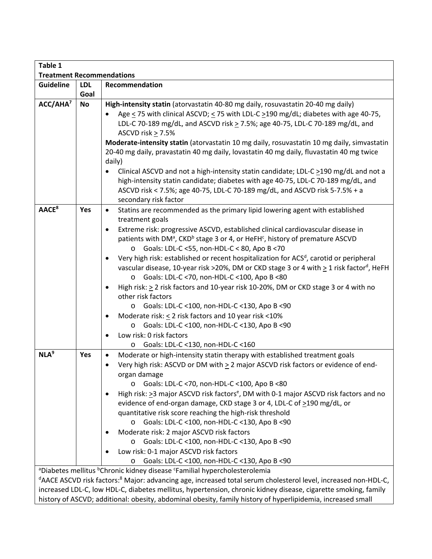| Table 1                                                                                                                                |            |                                                                                                                                                                                                                                                                                                                                                              |
|----------------------------------------------------------------------------------------------------------------------------------------|------------|--------------------------------------------------------------------------------------------------------------------------------------------------------------------------------------------------------------------------------------------------------------------------------------------------------------------------------------------------------------|
| <b>Treatment Recommendations</b>                                                                                                       |            |                                                                                                                                                                                                                                                                                                                                                              |
| <b>Guideline</b>                                                                                                                       | <b>LDL</b> | Recommendation                                                                                                                                                                                                                                                                                                                                               |
|                                                                                                                                        | Goal       |                                                                                                                                                                                                                                                                                                                                                              |
| ACC/AHA <sup>7</sup>                                                                                                                   | <b>No</b>  | High-intensity statin (atorvastatin 40-80 mg daily, rosuvastatin 20-40 mg daily)<br>Age < 75 with clinical ASCVD; < 75 with LDL-C >190 mg/dL; diabetes with age 40-75,<br>LDL-C 70-189 mg/dL, and ASCVD risk > 7.5%; age 40-75, LDL-C 70-189 mg/dL, and<br>ASCVD risk > 7.5%                                                                                 |
|                                                                                                                                        |            | Moderate-intensity statin (atorvastatin 10 mg daily, rosuvastatin 10 mg daily, simvastatin<br>20-40 mg daily, pravastatin 40 mg daily, lovastatin 40 mg daily, fluvastatin 40 mg twice<br>daily)<br>Clinical ASCVD and not a high-intensity statin candidate; LDL-C $\geq$ 190 mg/dL and not a                                                               |
|                                                                                                                                        |            | high-intensity statin candidate; diabetes with age 40-75, LDL-C 70-189 mg/dL, and<br>ASCVD risk < 7.5%; age 40-75, LDL-C 70-189 mg/dL, and ASCVD risk 5-7.5% + a<br>secondary risk factor                                                                                                                                                                    |
| AACE <sup>8</sup>                                                                                                                      | Yes        | Statins are recommended as the primary lipid lowering agent with established<br>$\bullet$<br>treatment goals                                                                                                                                                                                                                                                 |
|                                                                                                                                        |            | Extreme risk: progressive ASCVD, established clinical cardiovascular disease in<br>patients with DM <sup>a</sup> , CKD <sup>b</sup> stage 3 or 4, or HeFH <sup>c</sup> , history of premature ASCVD<br>Goals: LDL-C <55, non-HDL-C < 80, Apo B <70<br>$\circ$                                                                                                |
|                                                                                                                                        |            | Very high risk: established or recent hospitalization for ACS <sup>d</sup> , carotid or peripheral<br>vascular disease, 10-year risk >20%, DM or CKD stage 3 or 4 with $\geq$ 1 risk factor <sup>d</sup> , HeFH<br>o Goals: LDL-C <70, non-HDL-C <100, Apo B <80<br>High risk: $\geq$ 2 risk factors and 10-year risk 10-20%, DM or CKD stage 3 or 4 with no |
|                                                                                                                                        |            | other risk factors<br>Goals: LDL-C <100, non-HDL-C <130, Apo B <90                                                                                                                                                                                                                                                                                           |
|                                                                                                                                        |            | O<br>Moderate risk: $\leq$ 2 risk factors and 10 year risk < 10%<br>$\bullet$                                                                                                                                                                                                                                                                                |
|                                                                                                                                        |            | o Goals: LDL-C <100, non-HDL-C <130, Apo B <90                                                                                                                                                                                                                                                                                                               |
|                                                                                                                                        |            | Low risk: 0 risk factors                                                                                                                                                                                                                                                                                                                                     |
|                                                                                                                                        |            | Goals: LDL-C <130, non-HDL-C <160<br>O                                                                                                                                                                                                                                                                                                                       |
| NLA <sup>9</sup>                                                                                                                       | Yes        | Moderate or high-intensity statin therapy with established treatment goals<br>$\bullet$<br>Very high risk: ASCVD or DM with > 2 major ASCVD risk factors or evidence of end-<br>organ damage                                                                                                                                                                 |
|                                                                                                                                        |            | Goals: LDL-C <70, non-HDL-C <100, Apo B <80<br>$\circ$<br>High risk: $\geq$ 3 major ASCVD risk factors <sup>e</sup> , DM with 0-1 major ASCVD risk factors and no<br>evidence of end-organ damage, CKD stage 3 or 4, LDL-C of >190 mg/dL, or<br>quantitative risk score reaching the high-risk threshold                                                     |
|                                                                                                                                        |            | Goals: LDL-C <100, non-HDL-C <130, Apo B <90<br>O                                                                                                                                                                                                                                                                                                            |
|                                                                                                                                        |            | Moderate risk: 2 major ASCVD risk factors                                                                                                                                                                                                                                                                                                                    |
|                                                                                                                                        |            | Goals: LDL-C <100, non-HDL-C <130, Apo B <90                                                                                                                                                                                                                                                                                                                 |
|                                                                                                                                        |            | Low risk: 0-1 major ASCVD risk factors<br>Goals: LDL-C <100, non-HDL-C <130, Apo B <90<br>$\circ$                                                                                                                                                                                                                                                            |
|                                                                                                                                        |            | <sup>a</sup> Diabetes mellitus <sup>b</sup> Chronic kidney disease <sup>c</sup> Familial hypercholesterolemia                                                                                                                                                                                                                                                |
| <sup>d</sup> AACE ASCVD risk factors: <sup>8</sup> Major: advancing age, increased total serum cholesterol level, increased non-HDL-C, |            |                                                                                                                                                                                                                                                                                                                                                              |
| increased LDL-C, low HDL-C, diabetes mellitus, hypertension, chronic kidney disease, cigarette smoking, family                         |            |                                                                                                                                                                                                                                                                                                                                                              |
| history of ASCVD; additional: obesity, abdominal obesity, family history of hyperlipidemia, increased small                            |            |                                                                                                                                                                                                                                                                                                                                                              |